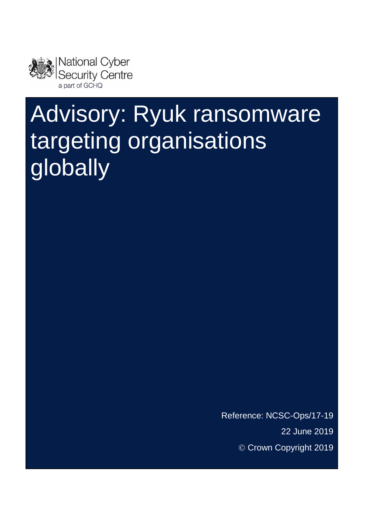

# Advisory: Ryuk ransomware targeting organisations globally

Reference: NCSC-Ops/17-19 22 June 2019 © Crown Copyright 2019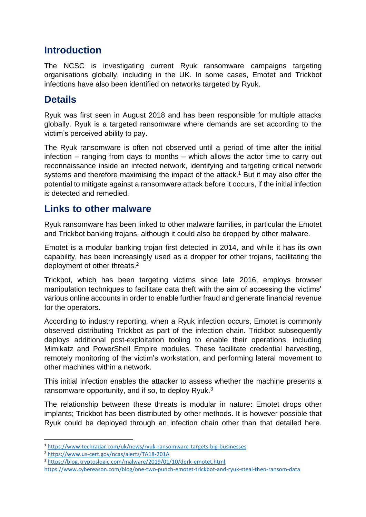#### **Introduction**

The NCSC is investigating current Ryuk ransomware campaigns targeting organisations globally, including in the UK. In some cases, Emotet and Trickbot infections have also been identified on networks targeted by Ryuk.

## **Details**

Ryuk was first seen in August 2018 and has been responsible for multiple attacks globally. Ryuk is a targeted ransomware where demands are set according to the victim's perceived ability to pay.

The Ryuk ransomware is often not observed until a period of time after the initial infection – ranging from days to months – which allows the actor time to carry out reconnaissance inside an infected network, identifying and targeting critical network systems and therefore maximising the impact of the attack.<sup>1</sup> But it may also offer the potential to mitigate against a ransomware attack before it occurs, if the initial infection is detected and remedied.

#### **Links to other malware**

Ryuk ransomware has been linked to other malware families, in particular the Emotet and Trickbot banking trojans, although it could also be dropped by other malware.

Emotet is a modular banking trojan first detected in 2014, and while it has its own capability, has been increasingly used as a dropper for other trojans, facilitating the deployment of other threats.<sup>2</sup>

Trickbot, which has been targeting victims since late 2016, employs browser manipulation techniques to facilitate data theft with the aim of accessing the victims' various online accounts in order to enable further fraud and generate financial revenue for the operators.

According to industry reporting, when a Ryuk infection occurs, Emotet is commonly observed distributing Trickbot as part of the infection chain. Trickbot subsequently deploys additional post-exploitation tooling to enable their operations, including Mimikatz and PowerShell Empire modules. These facilitate credential harvesting, remotely monitoring of the victim's workstation, and performing lateral movement to other machines within a network.

This initial infection enables the attacker to assess whether the machine presents a ransomware opportunity, and if so, to deploy Ryuk.<sup>3</sup>

The relationship between these threats is modular in nature: Emotet drops other implants; Trickbot has been distributed by other methods. It is however possible that Ryuk could be deployed through an infection chain other than that detailed here.

1

<sup>3</sup> [https://blog.kryptoslogic.com/malware/2019/01/10/dprk-emotet.html,](https://blog.kryptoslogic.com/malware/2019/01/10/dprk-emotet.html) 

<sup>1</sup> <https://www.techradar.com/uk/news/ryuk-ransomware-targets-big-businesses>

<sup>2</sup> <https://www.us-cert.gov/ncas/alerts/TA18-201A>

<https://www.cybereason.com/blog/one-two-punch-emotet-trickbot-and-ryuk-steal-then-ransom-data>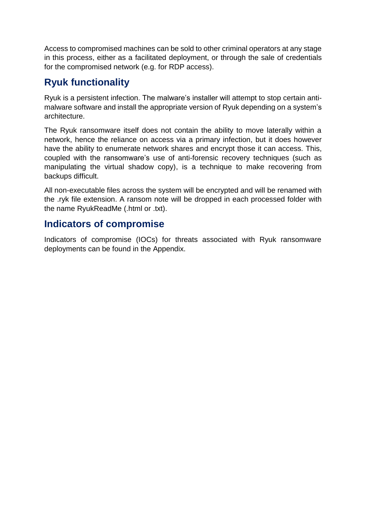Access to compromised machines can be sold to other criminal operators at any stage in this process, either as a facilitated deployment, or through the sale of credentials for the compromised network (e.g. for RDP access).

#### **Ryuk functionality**

Ryuk is a persistent infection. The malware's installer will attempt to stop certain antimalware software and install the appropriate version of Ryuk depending on a system's architecture.

The Ryuk ransomware itself does not contain the ability to move laterally within a network, hence the reliance on access via a primary infection, but it does however have the ability to enumerate network shares and encrypt those it can access. This, coupled with the ransomware's use of anti-forensic recovery techniques (such as manipulating the virtual shadow copy), is a technique to make recovering from backups difficult.

All non-executable files across the system will be encrypted and will be renamed with the .ryk file extension. A ransom note will be dropped in each processed folder with the name RyukReadMe (.html or .txt).

#### **Indicators of compromise**

Indicators of compromise (IOCs) for threats associated with Ryuk ransomware deployments can be found in the Appendix.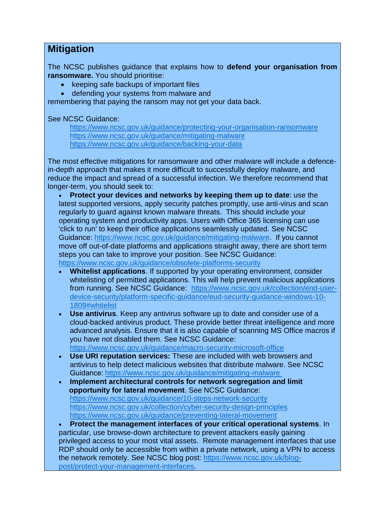#### **Mitigation**

The NCSC publishes guidance that explains how to **defend your organisation from ransomware.** You should prioritise:

- keeping safe backups of important files
- defending your systems from malware and

remembering that paying the ransom may not get your data back.

See NCSC Guidance:

<https://www.ncsc.gov.uk/guidance/protecting-your-organisation-ransomware> <https://www.ncsc.gov.uk/guidance/mitigating-malware> <https://www.ncsc.gov.uk/guidance/backing-your-data>

The most effective mitigations for ransomware and other malware will include a defencein-depth approach that makes it more difficult to successfully deploy malware, and reduce the impact and spread of a successful infection. We therefore recommend that longer-term, you should seek to:

• **Protect your devices and networks by keeping them up to date**: use the latest supported versions, apply security patches promptly, use anti-virus and scan regularly to guard against known malware threats. This should include your operating system and productivity apps. Users with Office 365 licensing can use 'click to run' to keep their office applications seamlessly updated. See NCSC Guidance: [https://www.ncsc.gov.uk/guidance/mitigating-malware.](https://www.ncsc.gov.uk/guidance/mitigating-malware) If you cannot move off out-of-date platforms and applications straight away, there are short term steps you can take to improve your position. See NCSC Guidance: <https://www.ncsc.gov.uk/guidance/obsolete-platforms-security>

- **Whitelist applications**. If supported by your operating environment, consider whitelisting of permitted applications. This will help prevent malicious applications from running. See NCSC Guidance: [https://www.ncsc.gov.uk/collection/end-user](https://www.ncsc.gov.uk/collection/end-user-device-security/platform-specific-guidance/eud-security-guidance-windows-10-1809#whitelist)[device-security/platform-specific-guidance/eud-security-guidance-windows-10-](https://www.ncsc.gov.uk/collection/end-user-device-security/platform-specific-guidance/eud-security-guidance-windows-10-1809#whitelist) [1809#whitelist](https://www.ncsc.gov.uk/collection/end-user-device-security/platform-specific-guidance/eud-security-guidance-windows-10-1809#whitelist)
- **Use antivirus**. Keep any antivirus software up to date and consider use of a cloud-backed antivirus product. These provide better threat intelligence and more advanced analysis. Ensure that it is also capable of scanning MS Office macros if you have not disabled them. See NCSC Guidance:

<https://www.ncsc.gov.uk/guidance/macro-security-microsoft-office>

- **Use URI reputation services:** These are included with web browsers and antivirus to help detect malicious websites that distribute malware. See NCSC Guidance:<https://www.ncsc.gov.uk/guidance/mitigating-malware>
- **Implement architectural controls for network segregation and limit opportunity for lateral movement**. See NCSC Guidance: <https://www.ncsc.gov.uk/guidance/10-steps-network-security> <https://www.ncsc.gov.uk/collection/cyber-security-design-principles> <https://www.ncsc.gov.uk/guidance/preventing-lateral-movement>

• **Protect the management interfaces of your critical operational systems**. In particular, use browse-down architecture to prevent attackers easily gaining privileged access to your most vital assets. Remote management interfaces that use RDP should only be accessible from within a private network, using a VPN to access the network remotely. See NCSC blog post: [https://www.ncsc.gov.uk/blog](https://www.ncsc.gov.uk/blog-post/protect-your-management-interfaces)[post/protect-your-management-interfaces.](https://www.ncsc.gov.uk/blog-post/protect-your-management-interfaces)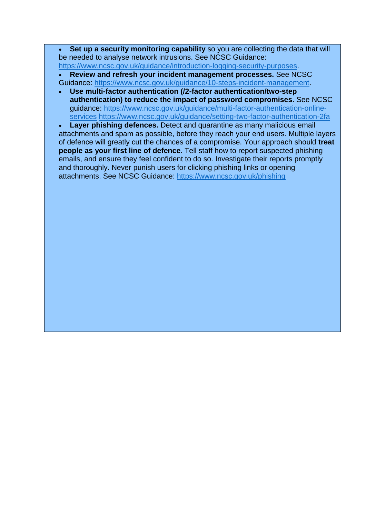**Set up a security monitoring capability** so you are collecting the data that will be needed to analyse network intrusions. See NCSC Guidance: [https://www.ncsc.gov.uk/guidance/introduction-logging-security-purposes.](https://www.ncsc.gov.uk/guidance/introduction-logging-security-purposes)

• **Review and refresh your incident management processes.** See NCSC

- Guidance: [https://www.ncsc.gov.uk/guidance/10-steps-incident-management.](https://www.ncsc.gov.uk/guidance/10-steps-incident-management)
- **Use multi-factor authentication (/2-factor authentication/two-step authentication) to reduce the impact of password compromises**. See NCSC guidance: [https://www.ncsc.gov.uk/guidance/multi-factor-authentication-online](https://www.ncsc.gov.uk/guidance/multi-factor-authentication-online-services)[services](https://www.ncsc.gov.uk/guidance/multi-factor-authentication-online-services) <https://www.ncsc.gov.uk/guidance/setting-two-factor-authentication-2fa>

**Layer phishing defences.** Detect and quarantine as many malicious email attachments and spam as possible, before they reach your end users. Multiple layers of defence will greatly cut the chances of a compromise. Your approach should **treat people as your first line of defence**. Tell staff how to report suspected phishing emails, and ensure they feel confident to do so. Investigate their reports promptly and thoroughly. Never punish users for clicking phishing links or opening attachments. See NCSC Guidance:<https://www.ncsc.gov.uk/phishing>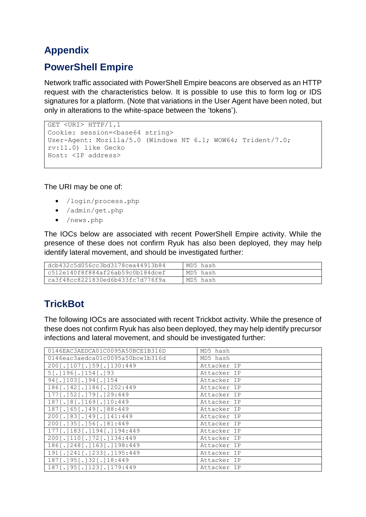## **Appendix**

### **PowerShell Empire**

Network traffic associated with PowerShell Empire beacons are observed as an HTTP request with the characteristics below. It is possible to use this to form log or IDS signatures for a platform. (Note that variations in the User Agent have been noted, but only in alterations to the white-space between the 'tokens').

```
GET <URI> HTTP/1.1
Cookie: session=<br/>base64 string>
User-Agent: Mozilla/5.0 (Windows NT 6.1; WOW64; Trident/7.0; 
rv:11.0) like Gecko
Host: <IP address>
```
The URI may be one of:

- /login/process.php
- /admin/get.php
- /news.php

The IOCs below are associated with recent PowerShell Empire activity. While the presence of these does not confirm Ryuk has also been deployed, they may help identify lateral movement, and should be investigated further:

| dcb432c5d056cc3bd3178cea44913b84 | MD5 hash |
|----------------------------------|----------|
| c512e140f8f884af26ab59c0b184dcef | MD5 hash |
| ca3f48cc8221830ed6b433fc7d776f9a | MD5 hash |

## **TrickBot**

The following IOCs are associated with recent Trickbot activity. While the presence of these does not confirm Ryuk has also been deployed, they may help identify precursor infections and lateral movement, and should be investigated further:

| 0146EAC3AEDCA01C0095A50BCE1B316D | MD5 hash    |
|----------------------------------|-------------|
| 0146eac3aedca01c0095a50bce1b316d | MD5 hash    |
| 200[.]107[.]59[.]130:449         | Attacker IP |
| $5$ [.] 196[.] 154[.] 93         | Attacker IP |
| 94 [.] 103 [.] 94 [.] 154        | Attacker IP |
| 186[.]42[.]186[.]202:449         | Attacker IP |
| 177[.]52[.]79[.]29:449           | Attacker IP |
| 187[.]8[.]169[.]10:449           | Attacker IP |
| 187[.]65[.]49[.]88:449           | Attacker IP |
| 200[.]83[.]49[.]141:449          | Attacker IP |
| 200[.]35[.]56[.]81:449           | Attacker IP |
| 177[.]183[.]194[.]194:449        | Attacker IP |
| 200[.]110[.]72[.]134:449         | Attacker IP |
| 186[.]248[.]163[.]198:449        | Attacker IP |
| 191[.]241[.]233[.]195:449        | Attacker IP |
| 187[.]95[.]32[.]18:449           | Attacker IP |
| 187[.]95[.]123[.]179:449         | Attacker IP |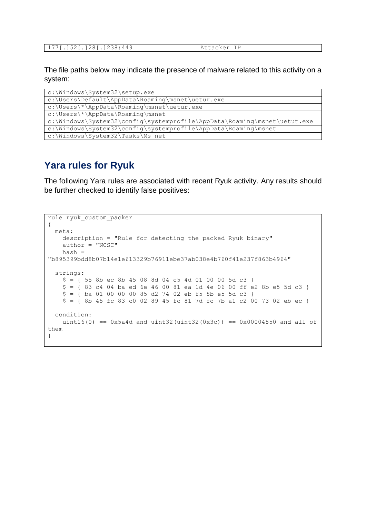The file paths below may indicate the presence of malware related to this activity on a system:

| c:\Windows\System32\setup.exe                                            |  |
|--------------------------------------------------------------------------|--|
| c:\Users\Default\AppData\Roaming\msnet\uetur.exe                         |  |
| c:\Users\*\AppData\Roaming\msnet\uetur.exe                               |  |
| c:\Users\*\AppData\Roaming\msnet                                         |  |
| c:\Windows\System32\config\systemprofile\AppData\Roaming\msnet\uetut.exe |  |
| c:\Windows\System32\config\systemprofile\AppData\Roaming\msnet           |  |
| c:\Windows\System32\Tasks\Ms net                                         |  |

#### **Yara rules for Ryuk**

The following Yara rules are associated with recent Ryuk activity. Any results should be further checked to identify false positives:

```
rule ryuk_custom_packer
{
   meta:
     description = "Rule for detecting the packed Ryuk binary"
     author = "NCSC"
     hash = 
"b895399bdd8b07b14e1e613329b76911ebe37ab038e4b760f41e237f863b4964"
   strings:
    $ = \{ 55 \text{ } 8b \text{ } ec \text{ } 8b \text{ } 45 \text{ } 08 \text{ } 8d \text{ } 04 \text{ } c5 \text{ } 4d \text{ } 01 \text{ } 00 \text{ } 00 \text{ } 5d \text{ } c3 \text{ } } $ = { 83 c4 04 ba ed 6e 46 00 81 ea 1d 4e 06 00 ff e2 8b e5 5d c3 }
    $ = { ba 01 00 00 00 85 d2 74 02 eb f5 8b e5 5d c3 }
    $ = {8b 45 fc 83 c0 02 89 45 fc 81 7d fc 7b a1 c2 00 73 02 eb ec } condition:
    uint16(0) == 0x5a4d and uint32(uint32(0x3c)) == 0x00004550 and all of
them
}
```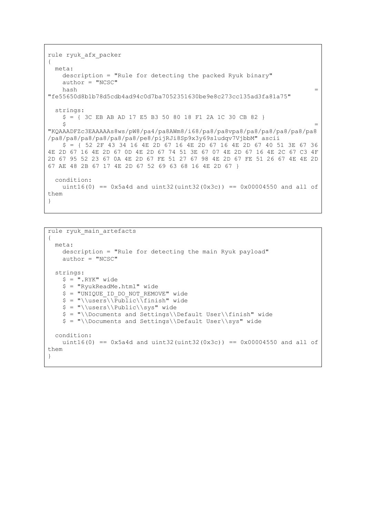```
rule ryuk_afx_packer
{
  meta:
    description = "Rule for detecting the packed Ryuk binary"
   author = "NCSC"hash =
"fe55650d8b1b78d5cdb4ad94c0d7ba7052351630be9e8c273cc135ad3fa81a75"
  strings:
    $ = { 3C EB AB AD 17 E5 B3 50 80 18 F1 2A 1C 30 CB 82 }
\mathsf{S} ="KQAAADFZc3EAAAAAs8ws/pW8/pa4/pa8AWm8/i68/pa8/pa8vpa8/pa8/pa8/pa8/pa8/pa8
/pa8/pa8/pa8/pa8/pa8/pa8/pe8/pijRJi8Sp9x3y69sludqv7VjbbM" ascii
    $ = { 52 2F 43 34 16 4E 2D 67 16 4E 2D 67 16 4E 2D 67 40 51 3E 67 36 
4E 2D 67 16 4E 2D 67 0D 4E 2D 67 74 51 3E 67 07 4E 2D 67 16 4E 2C 67 C3 4F 
2D 67 95 52 23 67 0A 4E 2D 67 FE 51 27 67 98 4E 2D 67 FE 51 26 67 4E 4E 2D 
67 AE 48 2B 67 17 4E 2D 67 52 69 63 68 16 4E 2D 67 } 
  condition:
   uint16(0) == 0x5a4d and uint32(uint32(0x3c)) == 0x00004550 and all of
them
}
```

```
rule ryuk main artefacts
{
  meta:
    description = "Rule for detecting the main Ryuk payload"
   author = "NCSC" strings:
    $ = "RYK" wide
     $ = "RyukReadMe.html" wide
    $ = "UNIQUE ID DO NOT REMOVE" wide
    $ = "\\users\\Pubble\\Tinish" wide$ = "\\users\\Public\\sys" wide$ = "\\Documents and Settings\\Default User\\finish" wide $ = "\\Documents and Settings\\Default User\\sys" wide
   condition:
   uint16(0) == 0x5a4d and uint32(uint32(0x3c)) == 0x00004550 and all of
them
}
```